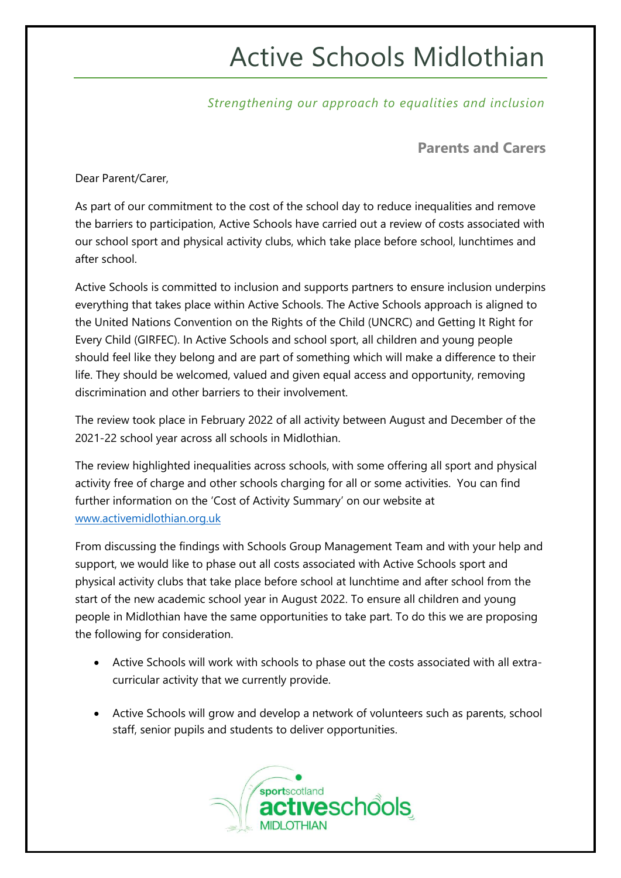## Active Schools Midlothian

*Strengthening our approach to equalities and inclusion*

**Parents and Carers**

Dear Parent/Carer,

As part of our commitment to the cost of the school day to reduce inequalities and remove the barriers to participation, Active Schools have carried out a review of costs associated with our school sport and physical activity clubs, which take place before school, lunchtimes and after school.

Active Schools is committed to inclusion and supports partners to ensure inclusion underpins everything that takes place within Active Schools. The Active Schools approach is aligned to the United Nations Convention on the Rights of the Child (UNCRC) and Getting It Right for Every Child (GIRFEC). In Active Schools and school sport, all children and young people should feel like they belong and are part of something which will make a difference to their life. They should be welcomed, valued and given equal access and opportunity, removing discrimination and other barriers to their involvement.

The review took place in February 2022 of all activity between August and December of the 2021-22 school year across all schools in Midlothian.

The review highlighted inequalities across schools, with some offering all sport and physical activity free of charge and other schools charging for all or some activities. You can find further information on the 'Cost of Activity Summary' on our website at [www.activemidlothian.org.uk](http://www.activemidlothian.org.uk/)

From discussing the findings with Schools Group Management Team and with your help and support, we would like to phase out all costs associated with Active Schools sport and physical activity clubs that take place before school at lunchtime and after school from the start of the new academic school year in August 2022. To ensure all children and young people in Midlothian have the same opportunities to take part. To do this we are proposing the following for consideration.

- Active Schools will work with schools to phase out the costs associated with all extracurricular activity that we currently provide.
- Active Schools will grow and develop a network of volunteers such as parents, school staff, senior pupils and students to deliver opportunities.